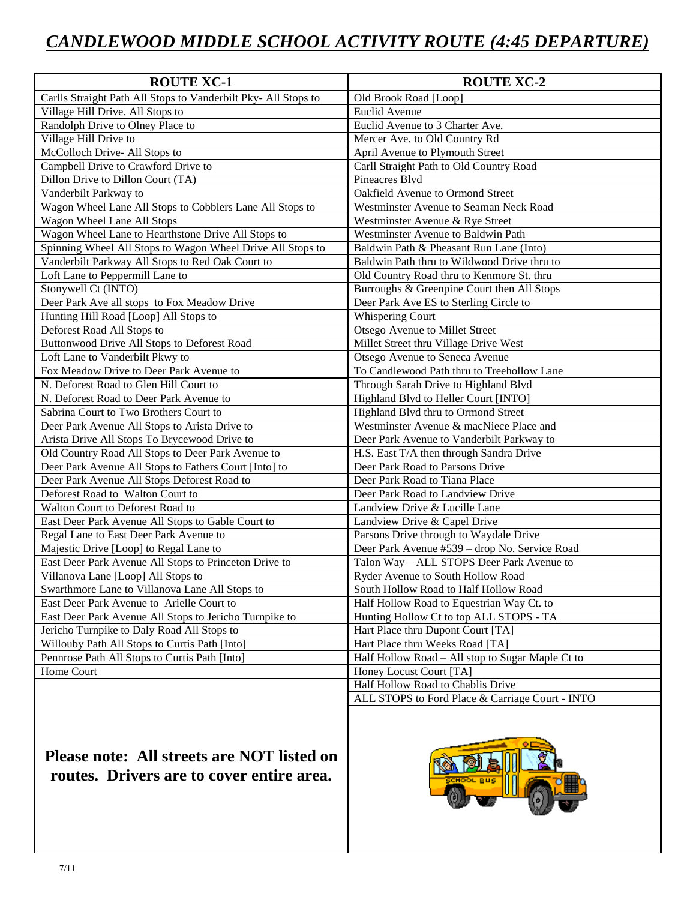## *CANDLEWOOD MIDDLE SCHOOL ACTIVITY ROUTE (4:45 DEPARTURE)*

| <b>ROUTE XC-1</b>                                              | <b>ROUTE XC-2</b>                                |
|----------------------------------------------------------------|--------------------------------------------------|
| Carlls Straight Path All Stops to Vanderbilt Pky- All Stops to | Old Brook Road [Loop]                            |
| Village Hill Drive. All Stops to                               | <b>Euclid Avenue</b>                             |
| Randolph Drive to Olney Place to                               | Euclid Avenue to 3 Charter Ave.                  |
| Village Hill Drive to                                          | Mercer Ave. to Old Country Rd                    |
| McColloch Drive-All Stops to                                   | April Avenue to Plymouth Street                  |
| Campbell Drive to Crawford Drive to                            | Carll Straight Path to Old Country Road          |
| Dillon Drive to Dillon Court (TA)                              | Pineacres Blvd                                   |
| Vanderbilt Parkway to                                          | Oakfield Avenue to Ormond Street                 |
| Wagon Wheel Lane All Stops to Cobblers Lane All Stops to       | Westminster Avenue to Seaman Neck Road           |
| Wagon Wheel Lane All Stops                                     | Westminster Avenue & Rye Street                  |
| Wagon Wheel Lane to Hearthstone Drive All Stops to             | Westminster Avenue to Baldwin Path               |
| Spinning Wheel All Stops to Wagon Wheel Drive All Stops to     | Baldwin Path & Pheasant Run Lane (Into)          |
| Vanderbilt Parkway All Stops to Red Oak Court to               | Baldwin Path thru to Wildwood Drive thru to      |
| Loft Lane to Peppermill Lane to                                | Old Country Road thru to Kenmore St. thru        |
| Stonywell Ct (INTO)                                            | Burroughs & Greenpine Court then All Stops       |
| Deer Park Ave all stops to Fox Meadow Drive                    | Deer Park Ave ES to Sterling Circle to           |
| Hunting Hill Road [Loop] All Stops to                          | Whispering Court                                 |
| Deforest Road All Stops to                                     | Otsego Avenue to Millet Street                   |
| Buttonwood Drive All Stops to Deforest Road                    | Millet Street thru Village Drive West            |
| Loft Lane to Vanderbilt Pkwy to                                | Otsego Avenue to Seneca Avenue                   |
| Fox Meadow Drive to Deer Park Avenue to                        | To Candlewood Path thru to Treehollow Lane       |
| N. Deforest Road to Glen Hill Court to                         | Through Sarah Drive to Highland Blvd             |
| N. Deforest Road to Deer Park Avenue to                        | Highland Blvd to Heller Court [INTO]             |
| Sabrina Court to Two Brothers Court to                         | Highland Blvd thru to Ormond Street              |
| Deer Park Avenue All Stops to Arista Drive to                  | Westminster Avenue & macNiece Place and          |
| Arista Drive All Stops To Brycewood Drive to                   | Deer Park Avenue to Vanderbilt Parkway to        |
| Old Country Road All Stops to Deer Park Avenue to              | H.S. East T/A then through Sandra Drive          |
| Deer Park Avenue All Stops to Fathers Court [Into] to          | Deer Park Road to Parsons Drive                  |
| Deer Park Avenue All Stops Deforest Road to                    | Deer Park Road to Tiana Place                    |
| Deforest Road to Walton Court to                               | Deer Park Road to Landview Drive                 |
| Walton Court to Deforest Road to                               | Landview Drive & Lucille Lane                    |
| East Deer Park Avenue All Stops to Gable Court to              | Landview Drive & Capel Drive                     |
| Regal Lane to East Deer Park Avenue to                         | Parsons Drive through to Waydale Drive           |
| Majestic Drive [Loop] to Regal Lane to                         | Deer Park Avenue #539 - drop No. Service Road    |
| East Deer Park Avenue All Stops to Princeton Drive to          | Talon Way - ALL STOPS Deer Park Avenue to        |
| Villanova Lane [Loop] All Stops to                             | Ryder Avenue to South Hollow Road                |
| Swarthmore Lane to Villanova Lane All Stops to                 | South Hollow Road to Half Hollow Road            |
| East Deer Park Avenue to Arielle Court to                      | Half Hollow Road to Equestrian Way Ct. to        |
| East Deer Park Avenue All Stops to Jericho Turnpike to         | Hunting Hollow Ct to top ALL STOPS - TA          |
| Jericho Turnpike to Daly Road All Stops to                     | Hart Place thru Dupont Court [TA]                |
| Willouby Path All Stops to Curtis Path [Into]                  | Hart Place thru Weeks Road [TA]                  |
| Pennrose Path All Stops to Curtis Path [Into]                  | Half Hollow Road – All stop to Sugar Maple Ct to |
| Home Court                                                     | Honey Locust Court [TA]                          |
|                                                                | Half Hollow Road to Chablis Drive                |
|                                                                | ALL STOPS to Ford Place & Carriage Court - INTO  |
|                                                                |                                                  |

**Please note: All streets are NOT listed on routes. Drivers are to cover entire area.**